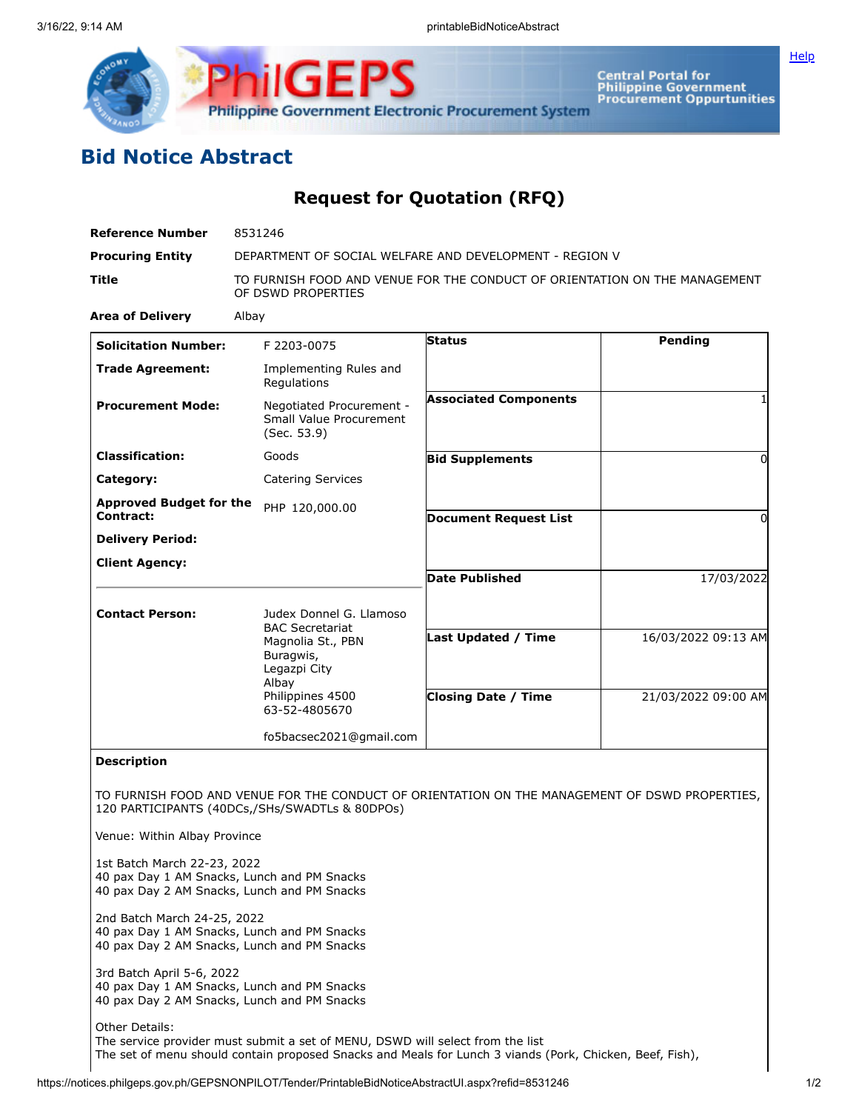



Central Portal for<br>Philippine Government<br>Procurement Oppurtunities

## **Bid Notice Abstract**

## **Request for Quotation (RFQ)**

| <b>Reference Number</b>                                                                                                   | 8531246                                                                                          |                                                                                                |                     |
|---------------------------------------------------------------------------------------------------------------------------|--------------------------------------------------------------------------------------------------|------------------------------------------------------------------------------------------------|---------------------|
| <b>Procuring Entity</b>                                                                                                   | DEPARTMENT OF SOCIAL WELFARE AND DEVELOPMENT - REGION V                                          |                                                                                                |                     |
| Title                                                                                                                     | TO FURNISH FOOD AND VENUE FOR THE CONDUCT OF ORIENTATION ON THE MANAGEMENT<br>OF DSWD PROPERTIES |                                                                                                |                     |
| <b>Area of Delivery</b>                                                                                                   | Albay                                                                                            |                                                                                                |                     |
| <b>Solicitation Number:</b>                                                                                               | F 2203-0075                                                                                      | <b>Status</b>                                                                                  | Pending             |
| <b>Trade Agreement:</b>                                                                                                   | Implementing Rules and<br>Regulations                                                            |                                                                                                |                     |
| <b>Procurement Mode:</b>                                                                                                  | Negotiated Procurement -<br>Small Value Procurement<br>(Sec. 53.9)                               | <b>Associated Components</b>                                                                   | 1                   |
| <b>Classification:</b>                                                                                                    | Goods                                                                                            | <b>Bid Supplements</b>                                                                         | $\Omega$            |
| Category:                                                                                                                 | <b>Catering Services</b>                                                                         |                                                                                                |                     |
| <b>Approved Budget for the</b><br><b>Contract:</b>                                                                        | PHP 120,000.00                                                                                   | <b>Document Request List</b>                                                                   | $\Omega$            |
| <b>Delivery Period:</b>                                                                                                   |                                                                                                  |                                                                                                |                     |
| <b>Client Agency:</b>                                                                                                     |                                                                                                  |                                                                                                |                     |
|                                                                                                                           |                                                                                                  | <b>Date Published</b>                                                                          | 17/03/2022          |
| <b>Contact Person:</b>                                                                                                    | Judex Donnel G. Llamoso<br><b>BAC Secretariat</b><br>Magnolia St., PBN<br>Buragwis,              | Last Updated / Time                                                                            | 16/03/2022 09:13 AM |
|                                                                                                                           | Legazpi City<br>Albay<br>Philippines 4500<br>63-52-4805670                                       | <b>Closing Date / Time</b>                                                                     | 21/03/2022 09:00 AM |
|                                                                                                                           | fo5bacsec2021@gmail.com                                                                          |                                                                                                |                     |
| <b>Description</b>                                                                                                        |                                                                                                  |                                                                                                |                     |
|                                                                                                                           | 120 PARTICIPANTS (40DCs,/SHs/SWADTLs & 80DPOs)                                                   | TO FURNISH FOOD AND VENUE FOR THE CONDUCT OF ORIENTATION ON THE MANAGEMENT OF DSWD PROPERTIES, |                     |
| Venue: Within Albay Province                                                                                              |                                                                                                  |                                                                                                |                     |
| 1st Batch March 22-23, 2022<br>40 pax Day 1 AM Snacks, Lunch and PM Snacks<br>40 pax Day 2 AM Snacks, Lunch and PM Snacks |                                                                                                  |                                                                                                |                     |
| 2nd Batch March 24-25, 2022<br>40 pax Day 1 AM Snacks, Lunch and PM Snacks<br>40 pax Day 2 AM Snacks, Lunch and PM Snacks |                                                                                                  |                                                                                                |                     |
| 3rd Batch April 5-6, 2022<br>40 pax Day 1 AM Snacks, Lunch and PM Snacks<br>40 pax Day 2 AM Snacks, Lunch and PM Snacks   |                                                                                                  |                                                                                                |                     |
| Other Details:                                                                                                            |                                                                                                  |                                                                                                |                     |

The service provider must submit a set of MENU, DSWD will select from the list The set of menu should contain proposed Snacks and Meals for Lunch 3 viands (Pork, Chicken, Beef, Fish),